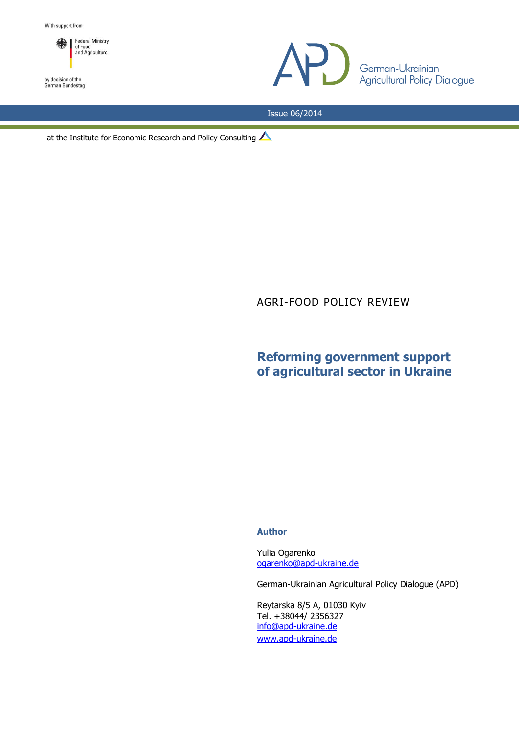



German-Ukrainian<br>Agricultural Policy Dialogue

Issue 06/2014

at the Institute for Economic Research and Policy Consulting

AGRI-FOOD POLICY REVIEW

# **Reforming government support of agricultural sector in Ukraine**

### **Author**

Yulia Ogarenko [ogarenko@apd-ukraine.de](mailto:ogarenko@apd-ukraine.de)

German-Ukrainian Agricultural Policy Dialogue (APD)

Reytarska 8/5 A, 01030 Kyiv Tel. +38044/ 2356327 [info@apd-ukraine.de](mailto:info@apd-ukraine.de) [www.apd-ukraine.de](http://www.apd-ukraine.de/)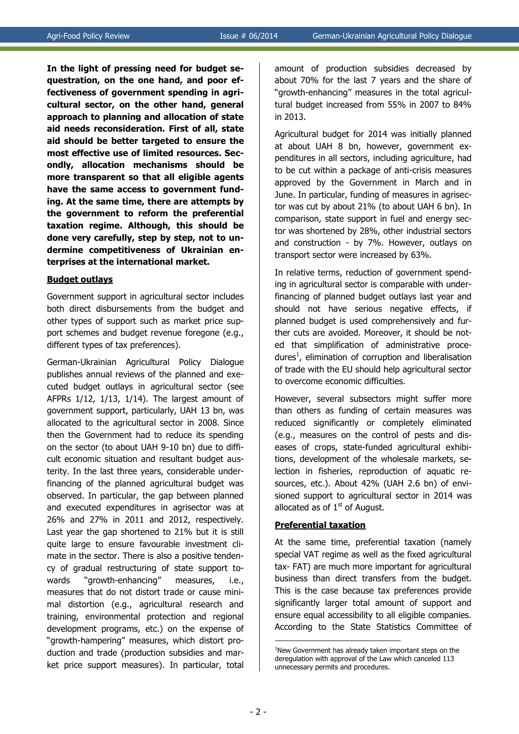**In the light of pressing need for budget sequestration, on the one hand, and poor effectiveness of government spending in agricultural sector, on the other hand, general approach to planning and allocation of state aid needs reconsideration. First of all, state aid should be better targeted to ensure the most effective use of limited resources. Secondly, allocation mechanisms should be more transparent so that all eligible agents have the same access to government funding. At the same time, there are attempts by the government to reform the preferential taxation regime. Although, this should be done very carefully, step by step, not to undermine competitiveness of Ukrainian enterprises at the international market.**

#### **Budget outlays**

Government support in agricultural sector includes both direct disbursements from the budget and other types of support such as market price support schemes and budget revenue foregone (e.g., different types of tax preferences).

German-Ukrainian Agricultural Policy Dialogue publishes annual reviews of the planned and executed budget outlays in agricultural sector (see AFPRs 1/12, 1/13, 1/14). The largest amount of government support, particularly, UAH 13 bn, was allocated to the agricultural sector in 2008. Since then the Government had to reduce its spending on the sector (to about UAH 9-10 bn) due to difficult economic situation and resultant budget austerity. In the last three years, considerable underfinancing of the planned agricultural budget was observed. In particular, the gap between planned and executed expenditures in agrisector was at 26% and 27% in 2011 and 2012, respectively. Last year the gap shortened to 21% but it is still quite large to ensure favourable investment climate in the sector. There is also a positive tendency of gradual restructuring of state support towards "growth-enhancing" measures, i.e., measures that do not distort trade or cause minimal distortion (e.g., agricultural research and training, environmental protection and regional development programs, etс.) on the expense of "growth-hampering" measures, which distort production and trade (production subsidies and market price support measures). In particular, total amount of production subsidies decreased by about 70% for the last 7 years and the share of "growth-enhancing" measures in the total agricultural budget increased from 55% in 2007 to 84% in 2013.

Agricultural budget for 2014 was initially planned at about UAH 8 bn, however, government expenditures in all sectors, including agriculture, had to be cut within a package of anti-crisis measures approved by the Government in March and in June. In particular, funding of measures in agrisector was cut by about 21% (to about UAH 6 bn). In comparison, state support in fuel and energy sector was shortened by 28%, other industrial sectors and construction - by 7%. However, outlays on transport sector were increased by 63%.

In relative terms, reduction of government spending in agricultural sector is comparable with underfinancing of planned budget outlays last year and should not have serious negative effects, if planned budget is used comprehensively and further cuts are avoided. Moreover, it should be noted that simplification of administrative procedures<sup>1</sup>, elimination of corruption and liberalisation of trade with the EU should help agricultural sector to overcome economic difficulties.

However, several subsectors might suffer more than others as funding of certain measures was reduced significantly or completely eliminated (e.g., measures on the control of pests and diseases of crops, state-funded agricultural exhibitions, development of the wholesale markets, selection in fisheries, reproduction of aquatic resources, etc.). About 42% (UAH 2.6 bn) of envisioned support to agricultural sector in 2014 was allocated as of  $1<sup>st</sup>$  of August.

## **Preferential taxation**

At the same time, preferential taxation (namely special VAT regime as well as the fixed agricultural tax- FAT) are much more important for agricultural business than direct transfers from the budget. This is the case because tax preferences provide significantly larger total amount of support and ensure equal accessibility to all eligible companies. According to the State Statistics Committee of

1

<sup>&</sup>lt;sup>1</sup>New Government has already taken important steps on the deregulation with approval of the Law which canceled 113 unnecessary permits and procedures.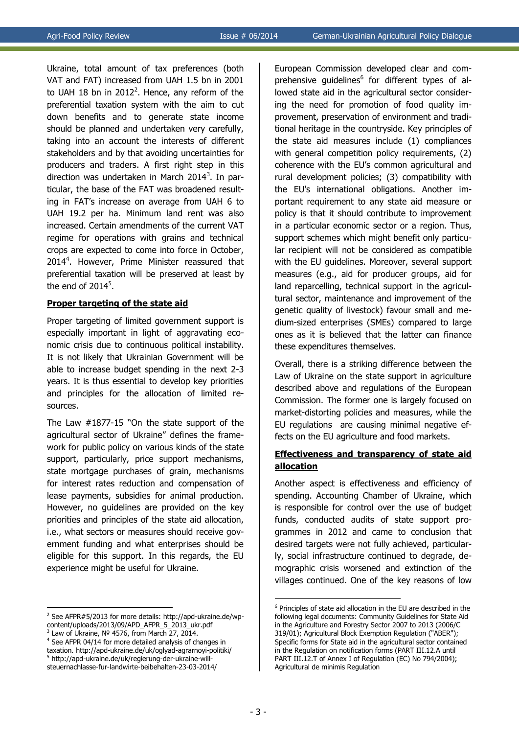Ukraine, total amount of tax preferences (both VAT and FAT) increased from UAH 1.5 bn in 2001 to UAH 18 bn in 2012<sup>2</sup>. Hence, any reform of the preferential taxation system with the aim to cut down benefits and to generate state income should be planned and undertaken very carefully, taking into an account the interests of different stakeholders and by that avoiding uncertainties for producers and traders. A first right step in this direction was undertaken in March 2014<sup>3</sup>. In particular, the base of the FAT was broadened resulting in FAT's increase on average from UAH 6 to UAH 19.2 per ha. Minimum land rent was also increased. Certain amendments of the current VAT regime for operations with grains and technical crops are expected to come into force in October, 2014<sup>4</sup> . However, Prime Minister reassured that preferential taxation will be preserved at least by the end of  $2014<sup>5</sup>$ .

## **Proper targeting of the state aid**

Proper targeting of limited government support is especially important in light of aggravating economic crisis due to continuous political instability. It is not likely that Ukrainian Government will be able to increase budget spending in the next 2-3 years. It is thus essential to develop key priorities and principles for the allocation of limited resources.

The Law #1877-15 "On the state support of the agricultural sector of Ukraine" defines the framework for public policy on various kinds of the state support, particularly, price support mechanisms, state mortgage purchases of grain, mechanisms for interest rates reduction and compensation of lease payments, subsidies for animal production. However, no guidelines are provided on the key priorities and principles of the state aid allocation, i.e., what sectors or measures should receive government funding and what enterprises should be eligible for this support. In this regards, the EU experience might be useful for Ukraine.

3 Law of Ukraine, № 4576, from March 27, 2014.

<u>.</u>

European Commission developed clear and comprehensive guidelines<sup>6</sup> for different types of allowed state aid in the agricultural sector considering the need for promotion of food quality improvement, preservation of environment and traditional heritage in the countryside. Key principles of the state aid measures include (1) compliances with general competition policy requirements, (2) coherence with the EU's common agricultural and rural development policies; (3) compatibility with the EU's international obligations. Another important requirement to any state aid measure or policy is that it should contribute to improvement in a particular economic sector or a region. Thus, support schemes which might benefit only particular recipient will not be considered as compatible with the EU guidelines. Moreover, several support measures (e.g., aid for producer groups, aid for land reparcelling, technical support in the agricultural sector, maintenance and improvement of the genetic quality of livestock) favour small and medium-sized enterprises (SMEs) compared to large ones as it is believed that the latter can finance these expenditures themselves.

Overall, there is a striking difference between the Law of Ukraine on the state support in agriculture described above and regulations of the European Commission. The former one is largely focused on market-distorting policies and measures, while the EU regulations are causing minimal negative effects on the EU agriculture and food markets.

# **Effectiveness and transparency of state aid allocation**

Another aspect is effectiveness and efficiency of spending. Accounting Chamber of Ukraine, which is responsible for control over the use of budget funds, conducted audits of state support programmes in 2012 and came to conclusion that desired targets were not fully achieved, particularly, social infrastructure continued to degrade, demographic crisis worsened and extinction of the villages continued. One of the key reasons of low

1

<sup>&</sup>lt;sup>2</sup> See AFPR#5/2013 for more details: http://apd-ukraine.de/wpcontent/uploads/2013/09/APD\_AFPR\_5\_2013\_ukr.pdf

<sup>&</sup>lt;sup>4</sup> See AFPR 04/14 for more detailed analysis of changes in taxation. http://apd-ukraine.de/uk/oglyad-agrarnoyi-politiki/ 5 http://apd-ukraine.de/uk/regierung-der-ukraine-willsteuernachlasse-fur-landwirte-beibehalten-23-03-2014/

<sup>6</sup> Principles of state aid allocation in the EU are described in the following legal documents: Community Guidelines for State Aid in the Agriculture and Forestry Sector 2007 to 2013 (2006/C 319/01); Agricultural Block Exemption Regulation ("ABER"); Specific forms for State aid in the agricultural sector contained in the Regulation on notification forms (PART III.12.A until PART III.12.T of Annex I of Regulation (EC) No 794/2004); Agricultural de minimis Regulation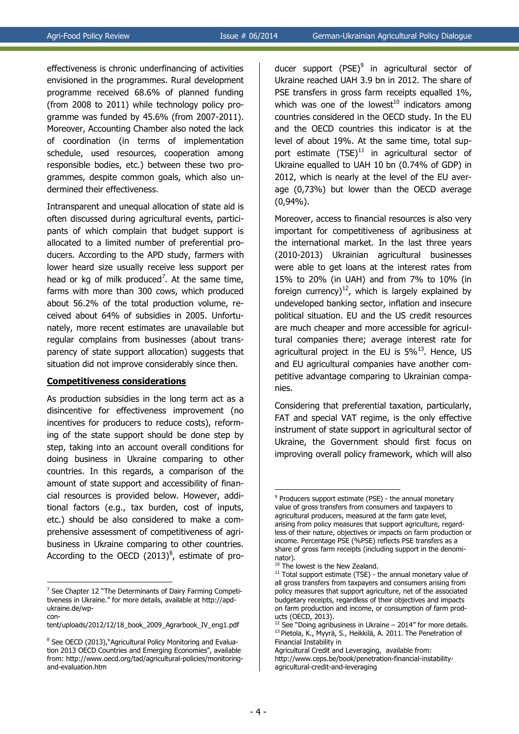effectiveness is chronic underfinancing of activities envisioned in the programmes. Rural development programme received 68.6% of planned funding (from 2008 to 2011) while technology policy programme was funded by 45.6% (from 2007-2011). Moreover, Accounting Chamber also noted the lack of coordination (in terms of implementation schedule, used resources, cooperation among responsible bodies, etc.) between these two programmes, despite common goals, which also undermined their effectiveness.

Intransparent and unequal allocation of state aid is often discussed during agricultural events, participants of which complain that budget support is allocated to a limited number of preferential producers. According to the APD study, farmers with lower heard size usually receive less support per head or kg of milk produced<sup>7</sup>. At the same time, farms with more than 300 cows, which produced about 56.2% of the total production volume, received about 64% of subsidies in 2005. Unfortunately, more recent estimates are unavailable but regular complains from businesses (about transparency of state support allocation) suggests that situation did not improve considerably since then.

#### **Competitiveness considerations**

As production subsidies in the long term act as a disincentive for effectiveness improvement (no incentives for producers to reduce costs), reforming of the state support should be done step by step, taking into an account overall conditions for doing business in Ukraine comparing to other countries. In this regards, a comparison of the amount of state support and accessibility of financial resources is provided below. However, additional factors (e.g., tax burden, cost of inputs, etc.) should be also considered to make a comprehensive assessment of competitiveness of agribusiness in Ukraine comparing to other countries. According to the OECD  $(2013)^8$ , estimate of pro-

1

ducer support (PSE)<sup>9</sup> in agricultural sector of Ukraine reached UAH 3.9 bn in 2012. The share of PSE transfers in gross farm receipts equalled 1%, which was one of the lowest<sup>10</sup> indicators among countries considered in the OECD study. In the EU and the OECD countries this indicator is at the level of about 19%. At the same time, total support estimate  $(TSE)^{11}$  in agricultural sector of Ukraine equalled to UAH 10 bn (0.74% of GDP) in 2012, which is nearly at the level of the EU average (0,73%) but lower than the OECD average (0,94%).

Moreover, access to financial resources is also very important for competitiveness of agribusiness at the international market. In the last three years (2010-2013) Ukrainian agricultural businesses were able to get loans at the interest rates from 15% to 20% (in UAH) and from 7% to 10% (in foreign currency)<sup>12</sup>, which is largely explained by undeveloped banking sector, inflation and insecure political situation. EU and the US credit resources are much cheaper and more accessible for agricultural companies there; average interest rate for agricultural project in the EU is  $5\%$ <sup>13</sup>. Hence, US and EU agricultural companies have another competitive advantage comparing to Ukrainian companies.

Considering that preferential taxation, particularly, FAT and special VAT regime, is the only effective instrument of state support in agricultural sector of Ukraine, the Government should first focus on improving overall policy framework, which will also

<sup>&</sup>lt;sup>7</sup> See Chapter 12 "The Determinants of Dairy Farming Competitiveness in Ukraine." for more details, available at [http://apd](http://apd-ukraine.de/wp-content/uploads/2012/12/18_book_2009_Agrarbook_IV_eng1.pdf)[ukraine.de/wp-](http://apd-ukraine.de/wp-content/uploads/2012/12/18_book_2009_Agrarbook_IV_eng1.pdf)

[con-](http://apd-ukraine.de/wp-content/uploads/2012/12/18_book_2009_Agrarbook_IV_eng1.pdf)

[tent/uploads/2012/12/18\\_book\\_2009\\_Agrarbook\\_IV\\_eng1.pdf](http://apd-ukraine.de/wp-content/uploads/2012/12/18_book_2009_Agrarbook_IV_eng1.pdf)

<sup>&</sup>lt;sup>8</sup> See OECD (2013),"Agricultural Policy Monitoring and Evaluation 2013 OECD Countries and Emerging Economies", available from: http://www.oecd.org/tad/agricultural-policies/monitoringand-evaluation.htm

<sup>1</sup> <sup>9</sup> Producers support estimate (PSE) - the annual monetary value of gross transfers from consumers and taxpayers to agricultural producers, measured at the farm gate level, arising from policy measures that support agriculture, regardless of their nature, objectives or impacts on farm production or income. Percentage PSE (%PSE) reflects PSE transfers as a share of gross farm receipts (including support in the denominator).

<sup>&</sup>lt;sup>10</sup> The lowest is the New Zealand.

 $11$  Total support estimate (TSE) - the annual monetary value of all gross transfers from taxpayers and consumers arising from policy measures that support agriculture, net of the associated budgetary receipts, regardless of their objectives and impacts on farm production and income, or consumption of farm products (OECD, 2013).

 $12$  See "Doing agribusiness in Ukraine – 2014" for more details. <sup>13</sup> Pietola, K., Myyrä, [S.,](http://www.ceps.be/author/sami-myyr%C3%A4) Heikkilä, [A.](http://www.ceps.be/author/anna-maija-heikkil%C3%A4) 2011. The Penetration of Financial Instability in

Agricultural Credit and Leveraging, available from: http://www.ceps.be/book/penetration-financial-instabilityagricultural-credit-and-leveraging